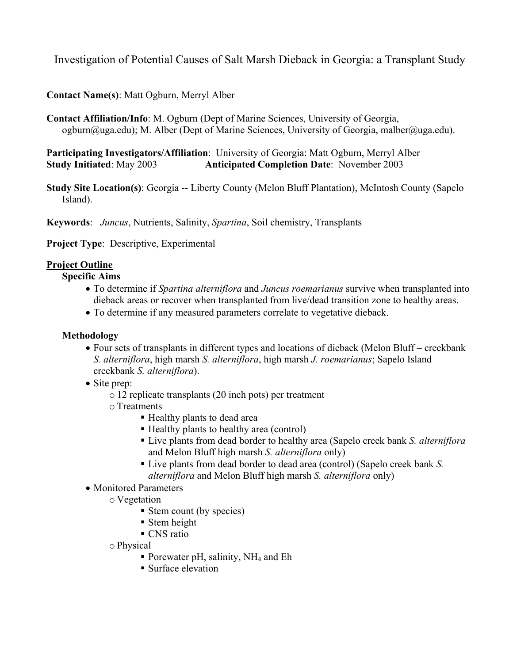Investigation of Potential Causes of Salt Marsh Dieback in Georgia: a Transplant Study

**Contact Name(s)**: Matt Ogburn, Merryl Alber

**Contact Affiliation/Info**: M. Ogburn (Dept of Marine Sciences, University of Georgia, ogburn@uga.edu); M. Alber (Dept of Marine Sciences, University of Georgia, malber@uga.edu).

**Participating Investigators/Affiliation**: University of Georgia: Matt Ogburn, Merryl Alber **Study Initiated**: May 2003 **Anticipated Completion Date**: November 2003

**Study Site Location(s)**: Georgia -- Liberty County (Melon Bluff Plantation), McIntosh County (Sapelo Island).

**Keywords**: *Juncus*, Nutrients, Salinity, *Spartina*, Soil chemistry, Transplants

**Project Type**: Descriptive, Experimental

# **Project Outline**

## **Specific Aims**

- To determine if *Spartina alterniflora* and *Juncus roemarianus* survive when transplanted into dieback areas or recover when transplanted from live/dead transition zone to healthy areas.
- To determine if any measured parameters correlate to vegetative dieback.

### **Methodology**

- Four sets of transplants in different types and locations of dieback (Melon Bluff creekbank *S. alterniflora*, high marsh *S. alterniflora*, high marsh *J. roemarianus*; Sapelo Island – creekbank *S. alterniflora*).
- Site prep:
	- o 12 replicate transplants (20 inch pots) per treatment
	- o Treatments
		- Healthy plants to dead area
		- Healthy plants to healthy area (control)
		- Live plants from dead border to healthy area (Sapelo creek bank *S. alterniflora*  and Melon Bluff high marsh *S. alterniflora* only)
		- Live plants from dead border to dead area (control) (Sapelo creek bank *S. alterniflora* and Melon Bluff high marsh *S. alterniflora* only)
- Monitored Parameters
	- o Vegetation
		- Stem count (by species)
		- Stem height
		- CNS ratio
	- o Physical
		- Porewater pH, salinity,  $NH_4$  and Eh
		- Surface elevation